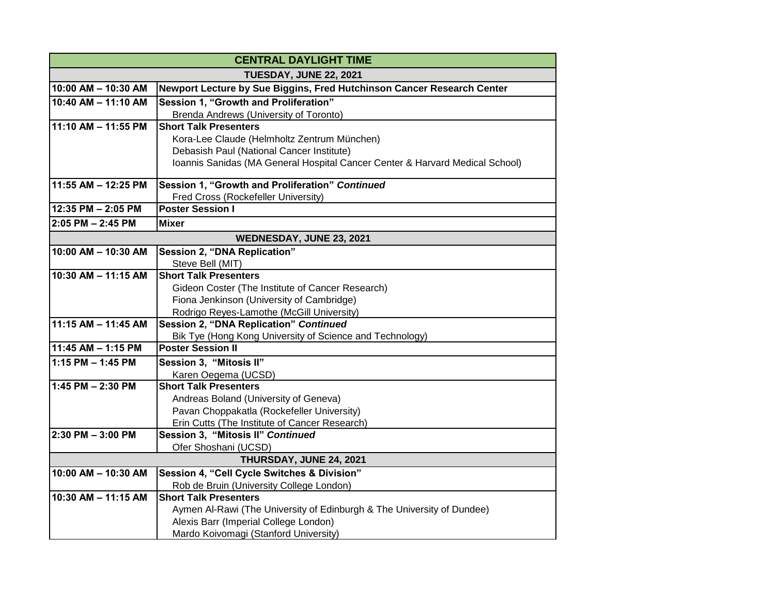| <b>CENTRAL DAYLIGHT TIME</b> |                                                                                      |
|------------------------------|--------------------------------------------------------------------------------------|
| TUESDAY, JUNE 22, 2021       |                                                                                      |
| 10:00 AM - 10:30 AM          | Newport Lecture by Sue Biggins, Fred Hutchinson Cancer Research Center               |
| 10:40 AM - 11:10 AM          | Session 1, "Growth and Proliferation"                                                |
|                              | Brenda Andrews (University of Toronto)                                               |
| 11:10 AM - 11:55 PM          | <b>Short Talk Presenters</b>                                                         |
|                              | Kora-Lee Claude (Helmholtz Zentrum München)                                          |
|                              | Debasish Paul (National Cancer Institute)                                            |
|                              | Ioannis Sanidas (MA General Hospital Cancer Center & Harvard Medical School)         |
| 11:55 AM - 12:25 PM          | Session 1, "Growth and Proliferation" Continued                                      |
|                              | Fred Cross (Rockefeller University)                                                  |
| 12:35 PM - 2:05 PM           | <b>Poster Session I</b>                                                              |
| $2:05$ PM $- 2:45$ PM        | <b>Mixer</b>                                                                         |
| WEDNESDAY, JUNE 23, 2021     |                                                                                      |
| 10:00 AM - 10:30 AM          | <b>Session 2, "DNA Replication"</b>                                                  |
|                              | Steve Bell (MIT)                                                                     |
| 10:30 AM - 11:15 AM          | <b>Short Talk Presenters</b>                                                         |
|                              | Gideon Coster (The Institute of Cancer Research)                                     |
|                              | Fiona Jenkinson (University of Cambridge)                                            |
|                              | Rodrigo Reyes-Lamothe (McGill University)                                            |
| 11:15 AM - 11:45 AM          | Session 2, "DNA Replication" Continued                                               |
|                              | Bik Tye (Hong Kong University of Science and Technology)<br><b>Poster Session II</b> |
| 11:45 AM - 1:15 PM           |                                                                                      |
| 1:15 PM - 1:45 PM            | Session 3, "Mitosis II"                                                              |
|                              | Karen Oegema (UCSD)                                                                  |
| 1:45 PM $- 2:30$ PM          | <b>Short Talk Presenters</b>                                                         |
|                              | Andreas Boland (University of Geneva)<br>Pavan Choppakatla (Rockefeller University)  |
|                              | Erin Cutts (The Institute of Cancer Research)                                        |
| 2:30 PM - 3:00 PM            | Session 3, "Mitosis II" Continued                                                    |
|                              | Ofer Shoshani (UCSD)                                                                 |
|                              | THURSDAY, JUNE 24, 2021                                                              |
| 10:00 AM - 10:30 AM          | Session 4, "Cell Cycle Switches & Division"                                          |
|                              | Rob de Bruin (University College London)                                             |
| 10:30 AM - 11:15 AM          | <b>Short Talk Presenters</b>                                                         |
|                              | Aymen Al-Rawi (The University of Edinburgh & The University of Dundee)               |
|                              | Alexis Barr (Imperial College London)                                                |
|                              | Mardo Koivomagi (Stanford University)                                                |